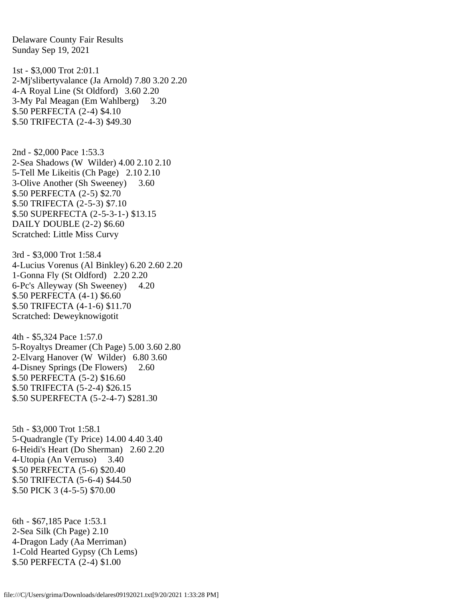Delaware County Fair Results Sunday Sep 19, 2021 1st - \$3,000 Trot 2:01.1 2-Mj'slibertyvalance (Ja Arnold) 7.80 3.20 2.20 4-A Royal Line (St Oldford) 3.60 2.20 3-My Pal Meagan (Em Wahlberg) 3.20 \$.50 PERFECTA (2-4) \$4.10 \$.50 TRIFECTA (2-4-3) \$49.30 2nd - \$2,000 Pace 1:53.3 2-Sea Shadows (W Wilder) 4.00 2.10 2.10 5-Tell Me Likeitis (Ch Page) 2.10 2.10 3-Olive Another (Sh Sweeney) 3.60 \$.50 PERFECTA (2-5) \$2.70 \$.50 TRIFECTA (2-5-3) \$7.10 \$.50 SUPERFECTA (2-5-3-1-) \$13.15 DAILY DOUBLE (2-2) \$6.60 Scratched: Little Miss Curvy 3rd - \$3,000 Trot 1:58.4 4-Lucius Vorenus (Al Binkley) 6.20 2.60 2.20 1-Gonna Fly (St Oldford) 2.20 2.20 6-Pc's Alleyway (Sh Sweeney) 4.20 \$.50 PERFECTA (4-1) \$6.60 \$.50 TRIFECTA (4-1-6) \$11.70 Scratched: Deweyknowigotit 4th - \$5,324 Pace 1:57.0 5-Royaltys Dreamer (Ch Page) 5.00 3.60 2.80 2-Elvarg Hanover (W Wilder) 6.80 3.60 4-Disney Springs (De Flowers) 2.60 \$.50 PERFECTA (5-2) \$16.60 \$.50 TRIFECTA (5-2-4) \$26.15 \$.50 SUPERFECTA (5-2-4-7) \$281.30 5th - \$3,000 Trot 1:58.1 5-Quadrangle (Ty Price) 14.00 4.40 3.40 6-Heidi's Heart (Do Sherman) 2.60 2.20 4-Utopia (An Verruso) 3.40 \$.50 PERFECTA (5-6) \$20.40 \$.50 TRIFECTA (5-6-4) \$44.50 \$.50 PICK 3 (4-5-5) \$70.00 6th - \$67,185 Pace 1:53.1 2-Sea Silk (Ch Page) 2.10

4-Dragon Lady (Aa Merriman) 1-Cold Hearted Gypsy (Ch Lems) \$.50 PERFECTA (2-4) \$1.00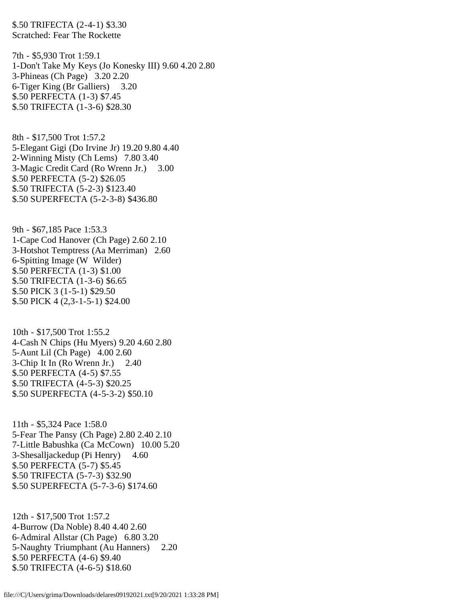\$.50 TRIFECTA (2-4-1) \$3.30 Scratched: Fear The Rockette

7th - \$5,930 Trot 1:59.1 1-Don't Take My Keys (Jo Konesky III) 9.60 4.20 2.80 3-Phineas (Ch Page) 3.20 2.20 6-Tiger King (Br Galliers) 3.20 \$.50 PERFECTA (1-3) \$7.45 \$.50 TRIFECTA (1-3-6) \$28.30

8th - \$17,500 Trot 1:57.2 5-Elegant Gigi (Do Irvine Jr) 19.20 9.80 4.40 2-Winning Misty (Ch Lems) 7.80 3.40 3-Magic Credit Card (Ro Wrenn Jr.) 3.00 \$.50 PERFECTA (5-2) \$26.05 \$.50 TRIFECTA (5-2-3) \$123.40 \$.50 SUPERFECTA (5-2-3-8) \$436.80

9th - \$67,185 Pace 1:53.3 1-Cape Cod Hanover (Ch Page) 2.60 2.10 3-Hotshot Temptress (Aa Merriman) 2.60 6-Spitting Image (W Wilder) \$.50 PERFECTA (1-3) \$1.00 \$.50 TRIFECTA (1-3-6) \$6.65 \$.50 PICK 3 (1-5-1) \$29.50 \$.50 PICK 4 (2,3-1-5-1) \$24.00

10th - \$17,500 Trot 1:55.2 4-Cash N Chips (Hu Myers) 9.20 4.60 2.80 5-Aunt Lil (Ch Page) 4.00 2.60 3-Chip It In (Ro Wrenn Jr.) 2.40 \$.50 PERFECTA (4-5) \$7.55 \$.50 TRIFECTA (4-5-3) \$20.25 \$.50 SUPERFECTA (4-5-3-2) \$50.10

11th - \$5,324 Pace 1:58.0 5-Fear The Pansy (Ch Page) 2.80 2.40 2.10 7-Little Babushka (Ca McCown) 10.00 5.20 3-Shesalljackedup (Pi Henry) 4.60 \$.50 PERFECTA (5-7) \$5.45 \$.50 TRIFECTA (5-7-3) \$32.90 \$.50 SUPERFECTA (5-7-3-6) \$174.60

12th - \$17,500 Trot 1:57.2 4-Burrow (Da Noble) 8.40 4.40 2.60 6-Admiral Allstar (Ch Page) 6.80 3.20 5-Naughty Triumphant (Au Hanners) 2.20 \$.50 PERFECTA (4-6) \$9.40 \$.50 TRIFECTA (4-6-5) \$18.60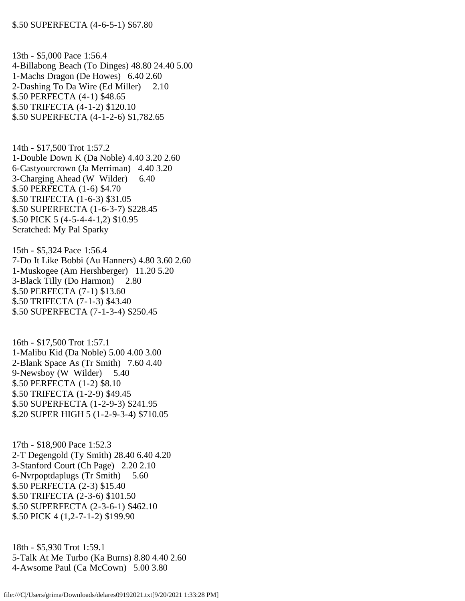13th - \$5,000 Pace 1:56.4 4-Billabong Beach (To Dinges) 48.80 24.40 5.00 1-Machs Dragon (De Howes) 6.40 2.60 2-Dashing To Da Wire (Ed Miller) 2.10 \$.50 PERFECTA (4-1) \$48.65 \$.50 TRIFECTA (4-1-2) \$120.10 \$.50 SUPERFECTA (4-1-2-6) \$1,782.65

14th - \$17,500 Trot 1:57.2 1-Double Down K (Da Noble) 4.40 3.20 2.60 6-Castyourcrown (Ja Merriman) 4.40 3.20 3-Charging Ahead (W Wilder) 6.40 \$.50 PERFECTA (1-6) \$4.70 \$.50 TRIFECTA (1-6-3) \$31.05 \$.50 SUPERFECTA (1-6-3-7) \$228.45 \$.50 PICK 5 (4-5-4-4-1,2) \$10.95 Scratched: My Pal Sparky

15th - \$5,324 Pace 1:56.4 7-Do It Like Bobbi (Au Hanners) 4.80 3.60 2.60 1-Muskogee (Am Hershberger) 11.20 5.20 3-Black Tilly (Do Harmon) 2.80 \$.50 PERFECTA (7-1) \$13.60 \$.50 TRIFECTA (7-1-3) \$43.40 \$.50 SUPERFECTA (7-1-3-4) \$250.45

16th - \$17,500 Trot 1:57.1 1-Malibu Kid (Da Noble) 5.00 4.00 3.00 2-Blank Space As (Tr Smith) 7.60 4.40 9-Newsboy (W Wilder) 5.40 \$.50 PERFECTA (1-2) \$8.10 \$.50 TRIFECTA (1-2-9) \$49.45 \$.50 SUPERFECTA (1-2-9-3) \$241.95 \$.20 SUPER HIGH 5 (1-2-9-3-4) \$710.05

17th - \$18,900 Pace 1:52.3 2-T Degengold (Ty Smith) 28.40 6.40 4.20 3-Stanford Court (Ch Page) 2.20 2.10 6-Nvrpoptdaplugs (Tr Smith) 5.60 \$.50 PERFECTA (2-3) \$15.40 \$.50 TRIFECTA (2-3-6) \$101.50 \$.50 SUPERFECTA (2-3-6-1) \$462.10 \$.50 PICK 4 (1,2-7-1-2) \$199.90

18th - \$5,930 Trot 1:59.1 5-Talk At Me Turbo (Ka Burns) 8.80 4.40 2.60 4-Awsome Paul (Ca McCown) 5.00 3.80